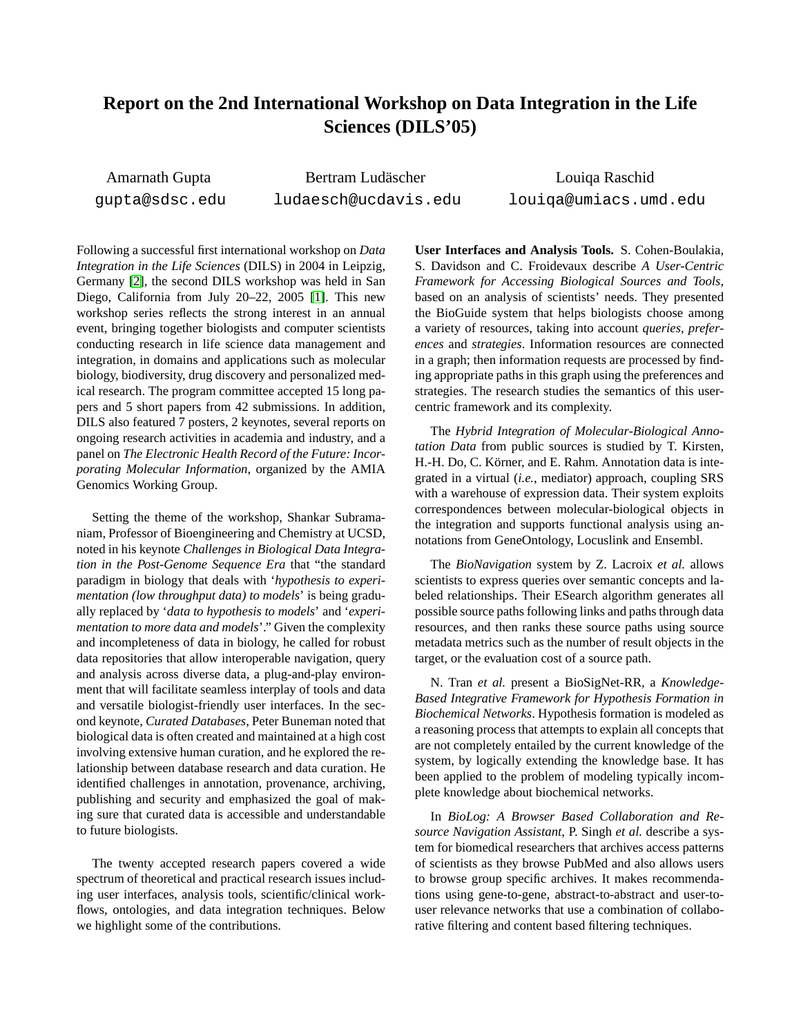## **Report on the 2nd International Workshop on Data Integration in the Life Sciences (DILS'05)**

Amarnath Gupta gupta@sdsc.edu

Bertram Ludäscher ludaesch@ucdavis.edu

Louiqa Raschid louiqa@umiacs.umd.edu

Following a successful first international workshop on *Data Integration in the Life Sciences* (DILS) in 2004 in Leipzig, Germany [\[2\]](#page-2-0), the second DILS workshop was held in San Diego, California from July 20–22, 2005 [\[1\]](#page-2-1). This new workshop series reflects the strong interest in an annual event, bringing together biologists and computer scientists conducting research in life science data management and integration, in domains and applications such as molecular biology, biodiversity, drug discovery and personalized medical research. The program committee accepted 15 long papers and 5 short papers from 42 submissions. In addition, DILS also featured 7 posters, 2 keynotes, several reports on ongoing research activities in academia and industry, and a panel on *The Electronic Health Record of the Future: Incorporating Molecular Information*, organized by the AMIA Genomics Working Group.

Setting the theme of the workshop, Shankar Subramaniam, Professor of Bioengineering and Chemistry at UCSD, noted in his keynote *Challenges in Biological Data Integration in the Post-Genome Sequence Era* that "the standard paradigm in biology that deals with '*hypothesis to experimentation (low throughput data) to models*' is being gradually replaced by '*data to hypothesis to models*' and '*experimentation to more data and models*'." Given the complexity and incompleteness of data in biology, he called for robust data repositories that allow interoperable navigation, query and analysis across diverse data, a plug-and-play environment that will facilitate seamless interplay of tools and data and versatile biologist-friendly user interfaces. In the second keynote, *Curated Databases*, Peter Buneman noted that biological data is often created and maintained at a high cost involving extensive human curation, and he explored the relationship between database research and data curation. He identified challenges in annotation, provenance, archiving, publishing and security and emphasized the goal of making sure that curated data is accessible and understandable to future biologists.

The twenty accepted research papers covered a wide spectrum of theoretical and practical research issues including user interfaces, analysis tools, scientific/clinical workflows, ontologies, and data integration techniques. Below we highlight some of the contributions.

**User Interfaces and Analysis Tools.** S. Cohen-Boulakia, S. Davidson and C. Froidevaux describe *A User-Centric Framework for Accessing Biological Sources and Tools*, based on an analysis of scientists' needs. They presented the BioGuide system that helps biologists choose among a variety of resources, taking into account *queries*, *preferences* and *strategies*. Information resources are connected in a graph; then information requests are processed by finding appropriate paths in this graph using the preferences and strategies. The research studies the semantics of this usercentric framework and its complexity.

The *Hybrid Integration of Molecular-Biological Annotation Data* from public sources is studied by T. Kirsten, H.-H. Do, C. Körner, and E. Rahm. Annotation data is integrated in a virtual (*i.e.*, mediator) approach, coupling SRS with a warehouse of expression data. Their system exploits correspondences between molecular-biological objects in the integration and supports functional analysis using annotations from GeneOntology, Locuslink and Ensembl.

The *BioNavigation* system by Z. Lacroix *et al.* allows scientists to express queries over semantic concepts and labeled relationships. Their ESearch algorithm generates all possible source paths following links and paths through data resources, and then ranks these source paths using source metadata metrics such as the number of result objects in the target, or the evaluation cost of a source path.

N. Tran *et al.* present a BioSigNet-RR, a *Knowledge-Based Integrative Framework for Hypothesis Formation in Biochemical Networks*. Hypothesis formation is modeled as a reasoning process that attempts to explain all concepts that are not completely entailed by the current knowledge of the system, by logically extending the knowledge base. It has been applied to the problem of modeling typically incomplete knowledge about biochemical networks.

In *BioLog: A Browser Based Collaboration and Resource Navigation Assistant*, P. Singh *et al.* describe a system for biomedical researchers that archives access patterns of scientists as they browse PubMed and also allows users to browse group specific archives. It makes recommendations using gene-to-gene, abstract-to-abstract and user-touser relevance networks that use a combination of collaborative filtering and content based filtering techniques.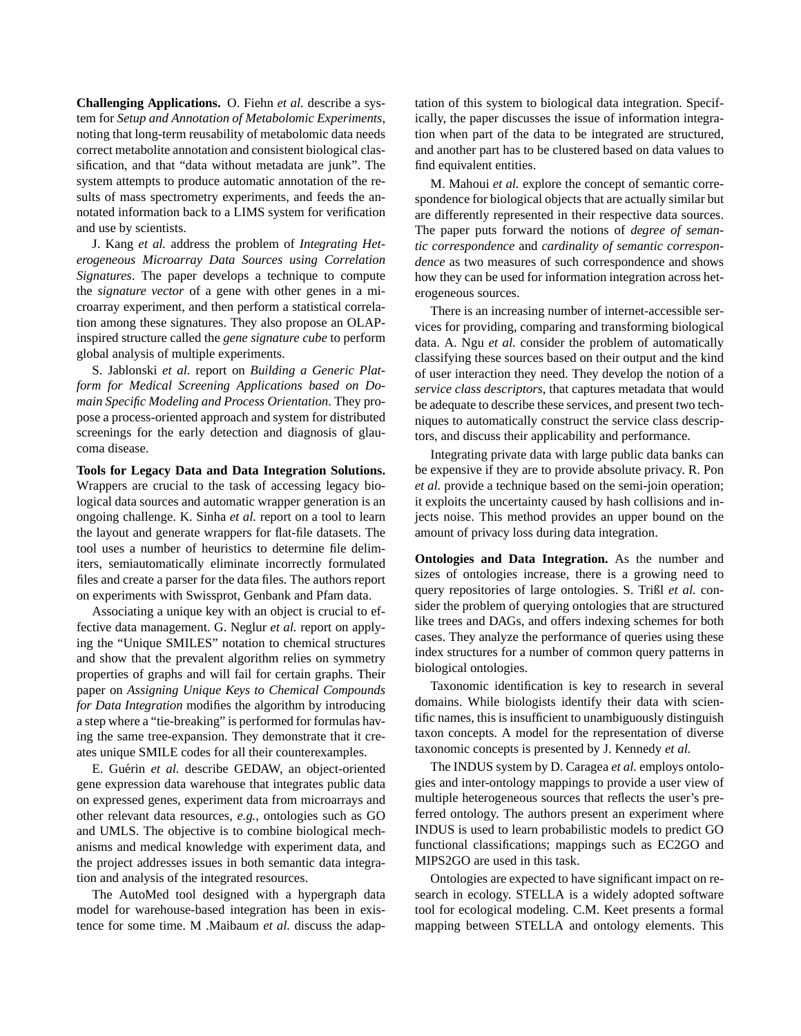**Challenging Applications.** O. Fiehn *et al.* describe a system for *Setup and Annotation of Metabolomic Experiments*, noting that long-term reusability of metabolomic data needs correct metabolite annotation and consistent biological classification, and that "data without metadata are junk". The system attempts to produce automatic annotation of the results of mass spectrometry experiments, and feeds the annotated information back to a LIMS system for verification and use by scientists.

J. Kang *et al.* address the problem of *Integrating Heterogeneous Microarray Data Sources using Correlation Signatures*. The paper develops a technique to compute the *signature vector* of a gene with other genes in a microarray experiment, and then perform a statistical correlation among these signatures. They also propose an OLAPinspired structure called the *gene signature cube* to perform global analysis of multiple experiments.

S. Jablonski *et al.* report on *Building a Generic Platform for Medical Screening Applications based on Domain Specific Modeling and Process Orientation*. They propose a process-oriented approach and system for distributed screenings for the early detection and diagnosis of glaucoma disease.

**Tools for Legacy Data and Data Integration Solutions.** Wrappers are crucial to the task of accessing legacy biological data sources and automatic wrapper generation is an ongoing challenge. K. Sinha *et al.* report on a tool to learn the layout and generate wrappers for flat-file datasets. The tool uses a number of heuristics to determine file delimiters, semiautomatically eliminate incorrectly formulated files and create a parser for the data files. The authors report on experiments with Swissprot, Genbank and Pfam data.

Associating a unique key with an object is crucial to effective data management. G. Neglur *et al.* report on applying the "Unique SMILES" notation to chemical structures and show that the prevalent algorithm relies on symmetry properties of graphs and will fail for certain graphs. Their paper on *Assigning Unique Keys to Chemical Compounds for Data Integration* modifies the algorithm by introducing a step where a "tie-breaking" is performed for formulas having the same tree-expansion. They demonstrate that it creates unique SMILE codes for all their counterexamples.

E. Guérin et al. describe GEDAW, an object-oriented gene expression data warehouse that integrates public data on expressed genes, experiment data from microarrays and other relevant data resources, *e.g.*, ontologies such as GO and UMLS. The objective is to combine biological mechanisms and medical knowledge with experiment data, and the project addresses issues in both semantic data integration and analysis of the integrated resources.

The AutoMed tool designed with a hypergraph data model for warehouse-based integration has been in existence for some time. M .Maibaum *et al.* discuss the adap-

tation of this system to biological data integration. Specifically, the paper discusses the issue of information integration when part of the data to be integrated are structured, and another part has to be clustered based on data values to find equivalent entities.

M. Mahoui *et al.* explore the concept of semantic correspondence for biological objects that are actually similar but are differently represented in their respective data sources. The paper puts forward the notions of *degree of semantic correspondence* and *cardinality of semantic correspondence* as two measures of such correspondence and shows how they can be used for information integration across heterogeneous sources.

There is an increasing number of internet-accessible services for providing, comparing and transforming biological data. A. Ngu *et al.* consider the problem of automatically classifying these sources based on their output and the kind of user interaction they need. They develop the notion of a *service class descriptors*, that captures metadata that would be adequate to describe these services, and present two techniques to automatically construct the service class descriptors, and discuss their applicability and performance.

Integrating private data with large public data banks can be expensive if they are to provide absolute privacy. R. Pon *et al.* provide a technique based on the semi-join operation; it exploits the uncertainty caused by hash collisions and injects noise. This method provides an upper bound on the amount of privacy loss during data integration.

**Ontologies and Data Integration.** As the number and sizes of ontologies increase, there is a growing need to query repositories of large ontologies. S. Trißl *et al.* consider the problem of querying ontologies that are structured like trees and DAGs, and offers indexing schemes for both cases. They analyze the performance of queries using these index structures for a number of common query patterns in biological ontologies.

Taxonomic identification is key to research in several domains. While biologists identify their data with scientific names, this is insufficient to unambiguously distinguish taxon concepts. A model for the representation of diverse taxonomic concepts is presented by J. Kennedy *et al.*

The INDUS system by D. Caragea *et al.* employs ontologies and inter-ontology mappings to provide a user view of multiple heterogeneous sources that reflects the user's preferred ontology. The authors present an experiment where INDUS is used to learn probabilistic models to predict GO functional classifications; mappings such as EC2GO and MIPS2GO are used in this task.

Ontologies are expected to have significant impact on research in ecology. STELLA is a widely adopted software tool for ecological modeling. C.M. Keet presents a formal mapping between STELLA and ontology elements. This